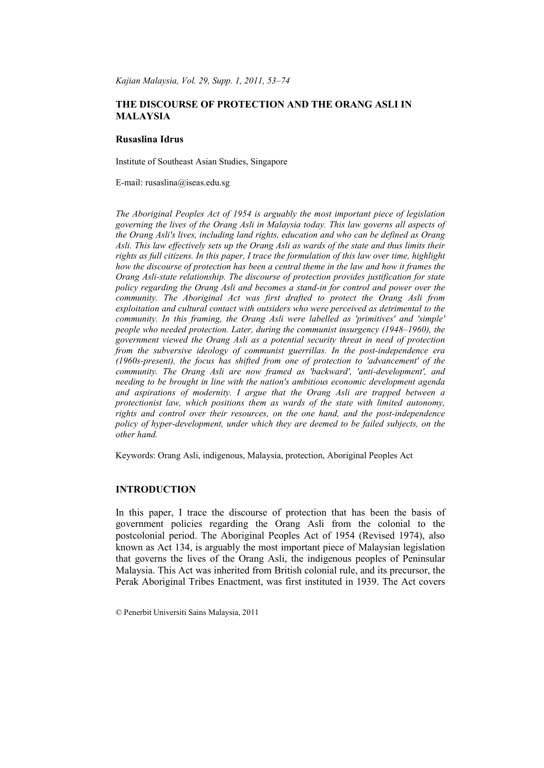*Kajian Malaysia, Vol. 29, Supp. 1, 2011, 53–74*

# **THE DISCOURSE OF PROTECTION AND THE ORANG ASLI IN MALAYSIA**

## **Rusaslina Idrus**

Institute of Southeast Asian Studies, Singapore

E-mail: rusaslina@iseas.edu.sg

*The Aboriginal Peoples Act of 1954 is arguably the most important piece of legislation governing the lives of the Orang Asli in Malaysia today. This law governs all aspects of the Orang Asli's lives, including land rights, education and who can be defined as Orang Asli. This law effectively sets up the Orang Asli as wards of the state and thus limits their rights as full citizens. In this paper, I trace the formulation of this law over time, highlight how the discourse of protection has been a central theme in the law and how it frames the Orang Asli-state relationship. The discourse of protection provides justification for state policy regarding the Orang Asli and becomes a stand-in for control and power over the community. The Aboriginal Act was first drafted to protect the Orang Asli from exploitation and cultural contact with outsiders who were perceived as detrimental to the community. In this framing, the Orang Asli were labelled as 'primitives' and 'simple' people who needed protection. Later, during the communist insurgency (1948–1960), the government viewed the Orang Asli as a potential security threat in need of protection from the subversive ideology of communist guerrillas. In the post-independence era (1960s-present), the focus has shifted from one of protection to 'advancement' of the community. The Orang Asli are now framed as 'backward', 'anti-development', and needing to be brought in line with the nation's ambitious economic development agenda and aspirations of modernity. I argue that the Orang Asli are trapped between a protectionist law, which positions them as wards of the state with limited autonomy, rights and control over their resources, on the one hand, and the post-independence policy of hyper-development, under which they are deemed to be failed subjects, on the other hand.*

Keywords: Orang Asli, indigenous, Malaysia, protection, Aboriginal Peoples Act

## **INTRODUCTION**

In this paper, I trace the discourse of protection that has been the basis of government policies regarding the Orang Asli from the colonial to the postcolonial period. The Aboriginal Peoples Act of 1954 (Revised 1974), also known as Act 134, is arguably the most important piece of Malaysian legislation that governs the lives of the Orang Asli, the indigenous peoples of Peninsular Malaysia. This Act was inherited from British colonial rule, and its precursor, the Perak Aboriginal Tribes Enactment, was first instituted in 1939. The Act covers

<sup>©</sup> Penerbit Universiti Sains Malaysia, 2011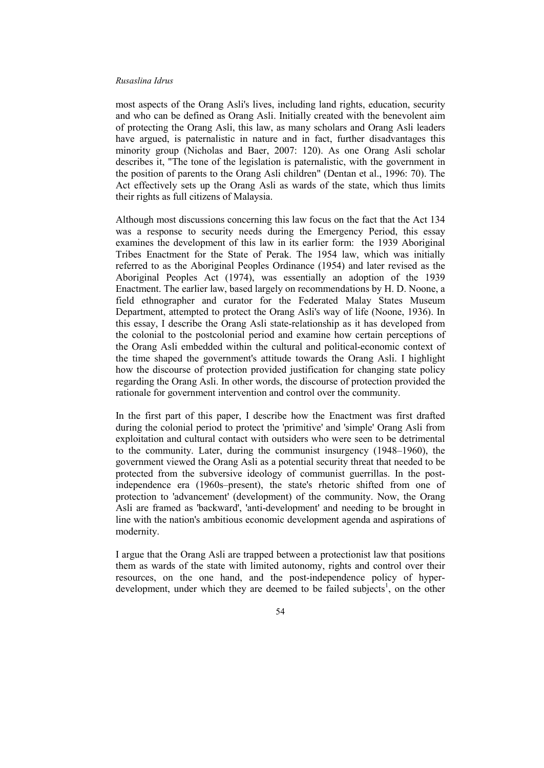most aspects of the Orang Asli's lives, including land rights, education, security and who can be defined as Orang Asli. Initially created with the benevolent aim of protecting the Orang Asli, this law, as many scholars and Orang Asli leaders have argued, is paternalistic in nature and in fact, further disadvantages this minority group (Nicholas and Baer, 2007: 120). As one Orang Asli scholar describes it, "The tone of the legislation is paternalistic, with the government in the position of parents to the Orang Asli children" (Dentan et al., 1996: 70). The Act effectively sets up the Orang Asli as wards of the state, which thus limits their rights as full citizens of Malaysia.

Although most discussions concerning this law focus on the fact that the Act 134 was a response to security needs during the Emergency Period, this essay examines the development of this law in its earlier form: the 1939 Aboriginal Tribes Enactment for the State of Perak. The 1954 law, which was initially referred to as the Aboriginal Peoples Ordinance (1954) and later revised as the Aboriginal Peoples Act (1974), was essentially an adoption of the 1939 Enactment. The earlier law, based largely on recommendations by H. D. Noone, a field ethnographer and curator for the Federated Malay States Museum Department, attempted to protect the Orang Asli's way of life (Noone, 1936). In this essay, I describe the Orang Asli state-relationship as it has developed from the colonial to the postcolonial period and examine how certain perceptions of the Orang Asli embedded within the cultural and political-economic context of the time shaped the government's attitude towards the Orang Asli. I highlight how the discourse of protection provided justification for changing state policy regarding the Orang Asli. In other words, the discourse of protection provided the rationale for government intervention and control over the community.

In the first part of this paper, I describe how the Enactment was first drafted during the colonial period to protect the 'primitive' and 'simple' Orang Asli from exploitation and cultural contact with outsiders who were seen to be detrimental to the community. Later, during the communist insurgency (1948–1960), the government viewed the Orang Asli as a potential security threat that needed to be protected from the subversive ideology of communist guerrillas. In the postindependence era (1960s–present), the state's rhetoric shifted from one of protection to 'advancement' (development) of the community. Now, the Orang Asli are framed as 'backward', 'anti-development' and needing to be brought in line with the nation's ambitious economic development agenda and aspirations of modernity.

I argue that the Orang Asli are trapped between a protectionist law that positions them as wards of the state with limited autonomy, rights and control over their resources, on the one hand, and the post-independence policy of hyperdevelopment, under which they are deemed to be failed subjects<sup>1</sup>, on the other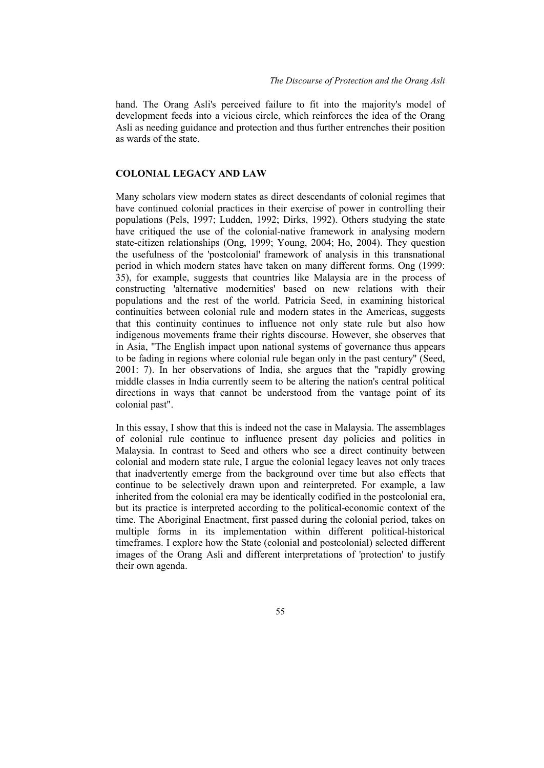hand. The Orang Asli's perceived failure to fit into the majority's model of development feeds into a vicious circle, which reinforces the idea of the Orang Asli as needing guidance and protection and thus further entrenches their position as wards of the state.

## **COLONIAL LEGACY AND LAW**

Many scholars view modern states as direct descendants of colonial regimes that have continued colonial practices in their exercise of power in controlling their populations (Pels, 1997; Ludden, 1992; Dirks, 1992). Others studying the state have critiqued the use of the colonial-native framework in analysing modern state-citizen relationships (Ong, 1999; Young, 2004; Ho, 2004). They question the usefulness of the 'postcolonial' framework of analysis in this transnational period in which modern states have taken on many different forms. Ong (1999: 35), for example, suggests that countries like Malaysia are in the process of constructing 'alternative modernities' based on new relations with their populations and the rest of the world. Patricia Seed, in examining historical continuities between colonial rule and modern states in the Americas, suggests that this continuity continues to influence not only state rule but also how indigenous movements frame their rights discourse. However, she observes that in Asia, "The English impact upon national systems of governance thus appears to be fading in regions where colonial rule began only in the past century" (Seed, 2001: 7). In her observations of India, she argues that the "rapidly growing middle classes in India currently seem to be altering the nation's central political directions in ways that cannot be understood from the vantage point of its colonial past".

In this essay, I show that this is indeed not the case in Malaysia. The assemblages of colonial rule continue to influence present day policies and politics in Malaysia. In contrast to Seed and others who see a direct continuity between colonial and modern state rule, I argue the colonial legacy leaves not only traces that inadvertently emerge from the background over time but also effects that continue to be selectively drawn upon and reinterpreted. For example, a law inherited from the colonial era may be identically codified in the postcolonial era, but its practice is interpreted according to the political-economic context of the time. The Aboriginal Enactment, first passed during the colonial period, takes on multiple forms in its implementation within different political-historical timeframes. I explore how the State (colonial and postcolonial) selected different images of the Orang Asli and different interpretations of 'protection' to justify their own agenda.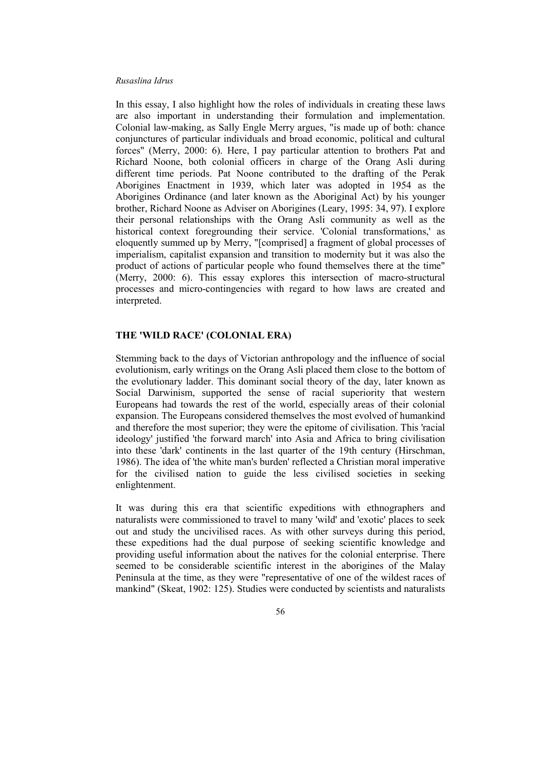In this essay, I also highlight how the roles of individuals in creating these laws are also important in understanding their formulation and implementation. Colonial law-making, as Sally Engle Merry argues, "is made up of both: chance conjunctures of particular individuals and broad economic, political and cultural forces" (Merry, 2000: 6). Here, I pay particular attention to brothers Pat and Richard Noone, both colonial officers in charge of the Orang Asli during different time periods. Pat Noone contributed to the drafting of the Perak Aborigines Enactment in 1939, which later was adopted in 1954 as the Aborigines Ordinance (and later known as the Aboriginal Act) by his younger brother, Richard Noone as Adviser on Aborigines (Leary, 1995: 34, 97). I explore their personal relationships with the Orang Asli community as well as the historical context foregrounding their service. 'Colonial transformations,' as eloquently summed up by Merry, "[comprised] a fragment of global processes of imperialism, capitalist expansion and transition to modernity but it was also the product of actions of particular people who found themselves there at the time" (Merry, 2000: 6). This essay explores this intersection of macro-structural processes and micro-contingencies with regard to how laws are created and interpreted.

# **THE 'WILD RACE' (COLONIAL ERA)**

Stemming back to the days of Victorian anthropology and the influence of social evolutionism, early writings on the Orang Asli placed them close to the bottom of the evolutionary ladder. This dominant social theory of the day, later known as Social Darwinism, supported the sense of racial superiority that western Europeans had towards the rest of the world, especially areas of their colonial expansion. The Europeans considered themselves the most evolved of humankind and therefore the most superior; they were the epitome of civilisation. This 'racial ideology' justified 'the forward march' into Asia and Africa to bring civilisation into these 'dark' continents in the last quarter of the 19th century (Hirschman, 1986). The idea of 'the white man's burden' reflected a Christian moral imperative for the civilised nation to guide the less civilised societies in seeking enlightenment.

It was during this era that scientific expeditions with ethnographers and naturalists were commissioned to travel to many 'wild' and 'exotic' places to seek out and study the uncivilised races. As with other surveys during this period, these expeditions had the dual purpose of seeking scientific knowledge and providing useful information about the natives for the colonial enterprise. There seemed to be considerable scientific interest in the aborigines of the Malay Peninsula at the time, as they were "representative of one of the wildest races of mankind" (Skeat, 1902: 125). Studies were conducted by scientists and naturalists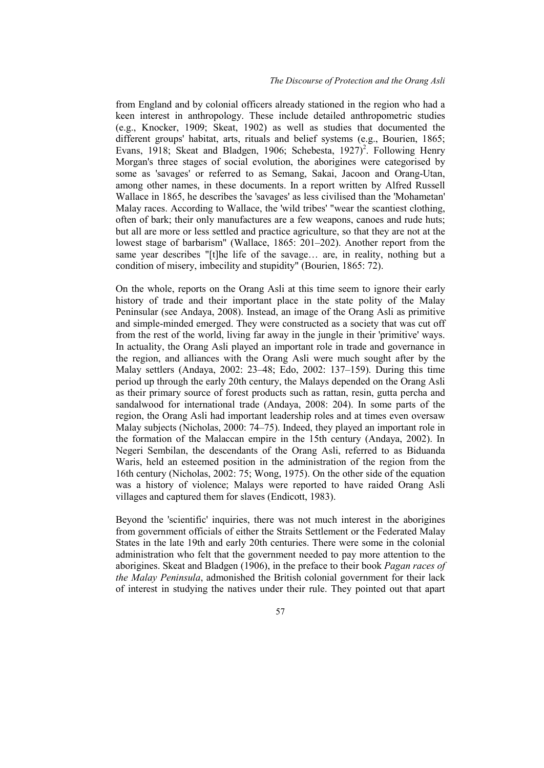from England and by colonial officers already stationed in the region who had a keen interest in anthropology. These include detailed anthropometric studies (e.g., Knocker, 1909; Skeat, 1902) as well as studies that documented the different groups' habitat, arts, rituals and belief systems (e.g., Bourien, 1865; Evans, 1918; Skeat and Bladgen, 1906; Schebesta, 1927)<sup>2</sup>. Following Henry Morgan's three stages of social evolution, the aborigines were categorised by some as 'savages' or referred to as Semang, Sakai, Jacoon and Orang-Utan, among other names, in these documents. In a report written by Alfred Russell Wallace in 1865, he describes the 'savages' as less civilised than the 'Mohametan' Malay races. According to Wallace, the 'wild tribes' "wear the scantiest clothing, often of bark; their only manufactures are a few weapons, canoes and rude huts; but all are more or less settled and practice agriculture, so that they are not at the lowest stage of barbarism" (Wallace, 1865: 201–202). Another report from the same year describes "[t]he life of the savage... are, in reality, nothing but a condition of misery, imbecility and stupidity" (Bourien, 1865: 72).

On the whole, reports on the Orang Asli at this time seem to ignore their early history of trade and their important place in the state polity of the Malay Peninsular (see Andaya, 2008). Instead, an image of the Orang Asli as primitive and simple-minded emerged. They were constructed as a society that was cut off from the rest of the world, living far away in the jungle in their 'primitive' ways. In actuality, the Orang Asli played an important role in trade and governance in the region, and alliances with the Orang Asli were much sought after by the Malay settlers (Andaya, 2002: 23–48; Edo, 2002: 137–159). During this time period up through the early 20th century, the Malays depended on the Orang Asli as their primary source of forest products such as rattan, resin, gutta percha and sandalwood for international trade (Andaya, 2008: 204). In some parts of the region, the Orang Asli had important leadership roles and at times even oversaw Malay subjects (Nicholas, 2000: 74–75). Indeed, they played an important role in the formation of the Malaccan empire in the 15th century (Andaya, 2002). In Negeri Sembilan, the descendants of the Orang Asli, referred to as Biduanda Waris, held an esteemed position in the administration of the region from the 16th century (Nicholas, 2002: 75; Wong, 1975). On the other side of the equation was a history of violence; Malays were reported to have raided Orang Asli villages and captured them for slaves (Endicott, 1983).

Beyond the 'scientific' inquiries, there was not much interest in the aborigines from government officials of either the Straits Settlement or the Federated Malay States in the late 19th and early 20th centuries. There were some in the colonial administration who felt that the government needed to pay more attention to the aborigines. Skeat and Bladgen (1906), in the preface to their book *Pagan races of the Malay Peninsula*, admonished the British colonial government for their lack of interest in studying the natives under their rule. They pointed out that apart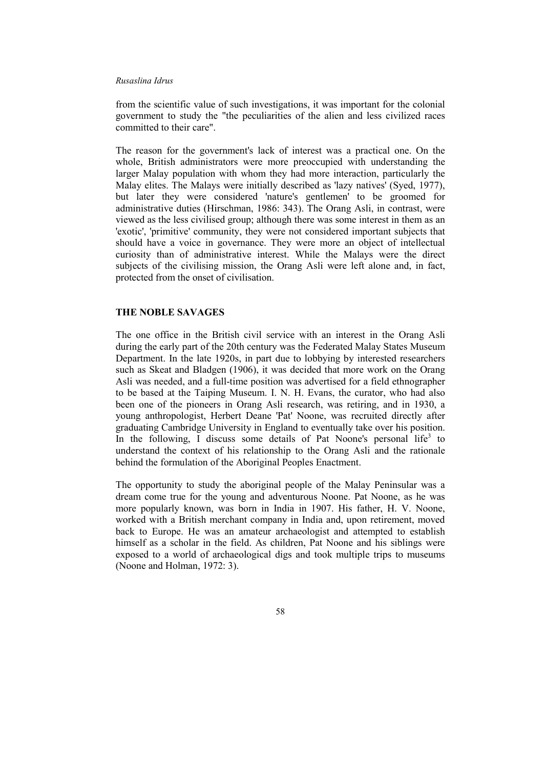from the scientific value of such investigations, it was important for the colonial government to study the "the peculiarities of the alien and less civilized races committed to their care".

The reason for the government's lack of interest was a practical one. On the whole, British administrators were more preoccupied with understanding the larger Malay population with whom they had more interaction, particularly the Malay elites. The Malays were initially described as 'lazy natives' (Syed, 1977), but later they were considered 'nature's gentlemen' to be groomed for administrative duties (Hirschman, 1986: 343). The Orang Asli, in contrast, were viewed as the less civilised group; although there was some interest in them as an 'exotic', 'primitive' community, they were not considered important subjects that should have a voice in governance. They were more an object of intellectual curiosity than of administrative interest. While the Malays were the direct subjects of the civilising mission, the Orang Asli were left alone and, in fact, protected from the onset of civilisation.

## **THE NOBLE SAVAGES**

The one office in the British civil service with an interest in the Orang Asli during the early part of the 20th century was the Federated Malay States Museum Department. In the late 1920s, in part due to lobbying by interested researchers such as Skeat and Bladgen (1906), it was decided that more work on the Orang Asli was needed, and a full-time position was advertised for a field ethnographer to be based at the Taiping Museum. I. N. H. Evans, the curator, who had also been one of the pioneers in Orang Asli research, was retiring, and in 1930, a young anthropologist, Herbert Deane 'Pat' Noone, was recruited directly after graduating Cambridge University in England to eventually take over his position. In the following, I discuss some details of Pat Noone's personal life<sup>3</sup> to understand the context of his relationship to the Orang Asli and the rationale behind the formulation of the Aboriginal Peoples Enactment.

The opportunity to study the aboriginal people of the Malay Peninsular was a dream come true for the young and adventurous Noone. Pat Noone, as he was more popularly known, was born in India in 1907. His father, H. V. Noone, worked with a British merchant company in India and, upon retirement, moved back to Europe. He was an amateur archaeologist and attempted to establish himself as a scholar in the field. As children, Pat Noone and his siblings were exposed to a world of archaeological digs and took multiple trips to museums (Noone and Holman, 1972: 3).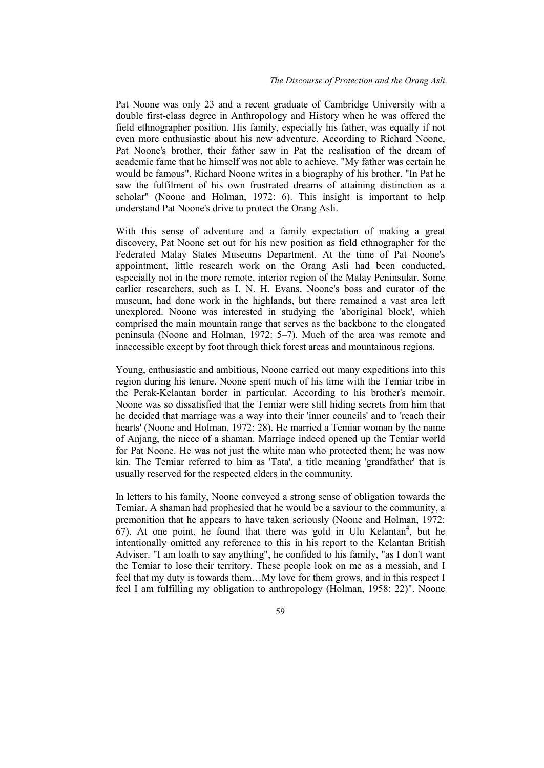Pat Noone was only 23 and a recent graduate of Cambridge University with a double first-class degree in Anthropology and History when he was offered the field ethnographer position. His family, especially his father, was equally if not even more enthusiastic about his new adventure. According to Richard Noone, Pat Noone's brother, their father saw in Pat the realisation of the dream of academic fame that he himself was not able to achieve. "My father was certain he would be famous", Richard Noone writes in a biography of his brother. "In Pat he saw the fulfilment of his own frustrated dreams of attaining distinction as a scholar" (Noone and Holman, 1972: 6). This insight is important to help understand Pat Noone's drive to protect the Orang Asli.

With this sense of adventure and a family expectation of making a great discovery, Pat Noone set out for his new position as field ethnographer for the Federated Malay States Museums Department. At the time of Pat Noone's appointment, little research work on the Orang Asli had been conducted, especially not in the more remote, interior region of the Malay Peninsular. Some earlier researchers, such as I. N. H. Evans, Noone's boss and curator of the museum, had done work in the highlands, but there remained a vast area left unexplored. Noone was interested in studying the 'aboriginal block', which comprised the main mountain range that serves as the backbone to the elongated peninsula (Noone and Holman, 1972: 5–7). Much of the area was remote and inaccessible except by foot through thick forest areas and mountainous regions.

Young, enthusiastic and ambitious, Noone carried out many expeditions into this region during his tenure. Noone spent much of his time with the Temiar tribe in the Perak-Kelantan border in particular. According to his brother's memoir, Noone was so dissatisfied that the Temiar were still hiding secrets from him that he decided that marriage was a way into their 'inner councils' and to 'reach their hearts' (Noone and Holman, 1972: 28). He married a Temiar woman by the name of Anjang, the niece of a shaman. Marriage indeed opened up the Temiar world for Pat Noone. He was not just the white man who protected them; he was now kin. The Temiar referred to him as 'Tata', a title meaning 'grandfather' that is usually reserved for the respected elders in the community.

In letters to his family, Noone conveyed a strong sense of obligation towards the Temiar. A shaman had prophesied that he would be a saviour to the community, a premonition that he appears to have taken seriously (Noone and Holman, 1972:  $67$ ). At one point, he found that there was gold in Ulu Kelantan<sup>4</sup>, but he intentionally omitted any reference to this in his report to the Kelantan British Adviser. "I am loath to say anything", he confided to his family, "as I don't want the Temiar to lose their territory. These people look on me as a messiah, and I feel that my duty is towards them…My love for them grows, and in this respect I feel I am fulfilling my obligation to anthropology (Holman, 1958: 22)". Noone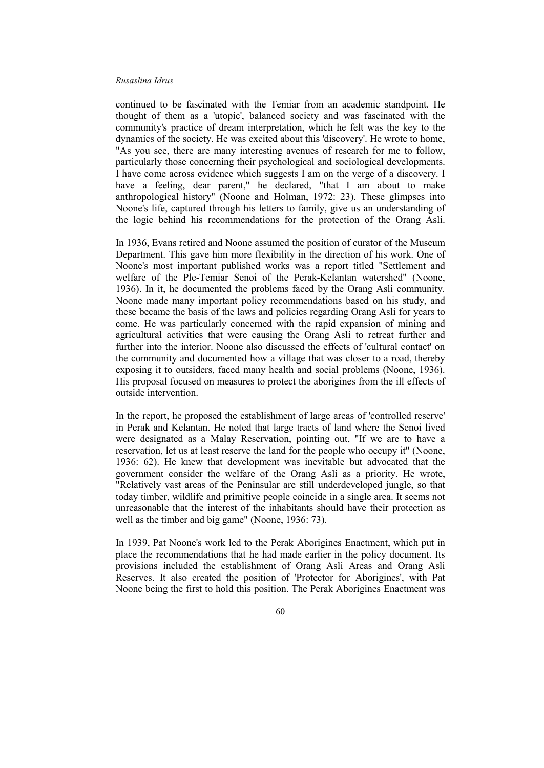continued to be fascinated with the Temiar from an academic standpoint. He thought of them as a 'utopic', balanced society and was fascinated with the community's practice of dream interpretation, which he felt was the key to the dynamics of the society. He was excited about this 'discovery'. He wrote to home, "As you see, there are many interesting avenues of research for me to follow, particularly those concerning their psychological and sociological developments. I have come across evidence which suggests I am on the verge of a discovery. I have a feeling, dear parent," he declared, "that I am about to make anthropological history" (Noone and Holman, 1972: 23). These glimpses into Noone's life, captured through his letters to family, give us an understanding of the logic behind his recommendations for the protection of the Orang Asli.

In 1936, Evans retired and Noone assumed the position of curator of the Museum Department. This gave him more flexibility in the direction of his work. One of Noone's most important published works was a report titled "Settlement and welfare of the Ple-Temiar Senoi of the Perak-Kelantan watershed" (Noone, 1936). In it, he documented the problems faced by the Orang Asli community. Noone made many important policy recommendations based on his study, and these became the basis of the laws and policies regarding Orang Asli for years to come. He was particularly concerned with the rapid expansion of mining and agricultural activities that were causing the Orang Asli to retreat further and further into the interior. Noone also discussed the effects of 'cultural contact' on the community and documented how a village that was closer to a road, thereby exposing it to outsiders, faced many health and social problems (Noone, 1936). His proposal focused on measures to protect the aborigines from the ill effects of outside intervention.

In the report, he proposed the establishment of large areas of 'controlled reserve' in Perak and Kelantan. He noted that large tracts of land where the Senoi lived were designated as a Malay Reservation, pointing out, "If we are to have a reservation, let us at least reserve the land for the people who occupy it" (Noone, 1936: 62). He knew that development was inevitable but advocated that the government consider the welfare of the Orang Asli as a priority. He wrote, "Relatively vast areas of the Peninsular are still underdeveloped jungle, so that today timber, wildlife and primitive people coincide in a single area. It seems not unreasonable that the interest of the inhabitants should have their protection as well as the timber and big game" (Noone, 1936: 73).

In 1939, Pat Noone's work led to the Perak Aborigines Enactment, which put in place the recommendations that he had made earlier in the policy document. Its provisions included the establishment of Orang Asli Areas and Orang Asli Reserves. It also created the position of 'Protector for Aborigines', with Pat Noone being the first to hold this position. The Perak Aborigines Enactment was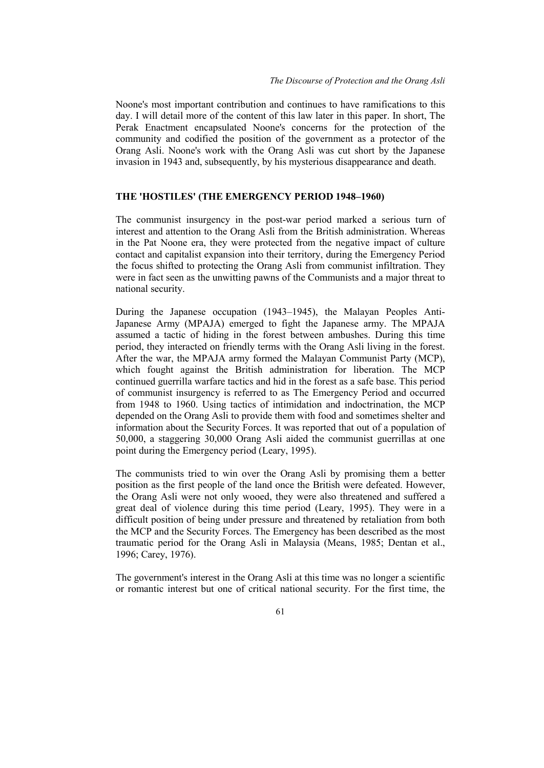Noone's most important contribution and continues to have ramifications to this day. I will detail more of the content of this law later in this paper. In short, The Perak Enactment encapsulated Noone's concerns for the protection of the community and codified the position of the government as a protector of the Orang Asli. Noone's work with the Orang Asli was cut short by the Japanese invasion in 1943 and, subsequently, by his mysterious disappearance and death.

## **THE 'HOSTILES' (THE EMERGENCY PERIOD 1948–1960)**

The communist insurgency in the post-war period marked a serious turn of interest and attention to the Orang Asli from the British administration. Whereas in the Pat Noone era, they were protected from the negative impact of culture contact and capitalist expansion into their territory, during the Emergency Period the focus shifted to protecting the Orang Asli from communist infiltration. They were in fact seen as the unwitting pawns of the Communists and a major threat to national security.

During the Japanese occupation (1943–1945), the Malayan Peoples Anti-Japanese Army (MPAJA) emerged to fight the Japanese army. The MPAJA assumed a tactic of hiding in the forest between ambushes. During this time period, they interacted on friendly terms with the Orang Asli living in the forest. After the war, the MPAJA army formed the Malayan Communist Party (MCP), which fought against the British administration for liberation. The MCP continued guerrilla warfare tactics and hid in the forest as a safe base. This period of communist insurgency is referred to as The Emergency Period and occurred from 1948 to 1960. Using tactics of intimidation and indoctrination, the MCP depended on the Orang Asli to provide them with food and sometimes shelter and information about the Security Forces. It was reported that out of a population of 50,000, a staggering 30,000 Orang Asli aided the communist guerrillas at one point during the Emergency period (Leary, 1995).

The communists tried to win over the Orang Asli by promising them a better position as the first people of the land once the British were defeated. However, the Orang Asli were not only wooed, they were also threatened and suffered a great deal of violence during this time period (Leary, 1995). They were in a difficult position of being under pressure and threatened by retaliation from both the MCP and the Security Forces. The Emergency has been described as the most traumatic period for the Orang Asli in Malaysia (Means, 1985; Dentan et al., 1996; Carey, 1976).

The government's interest in the Orang Asli at this time was no longer a scientific or romantic interest but one of critical national security. For the first time, the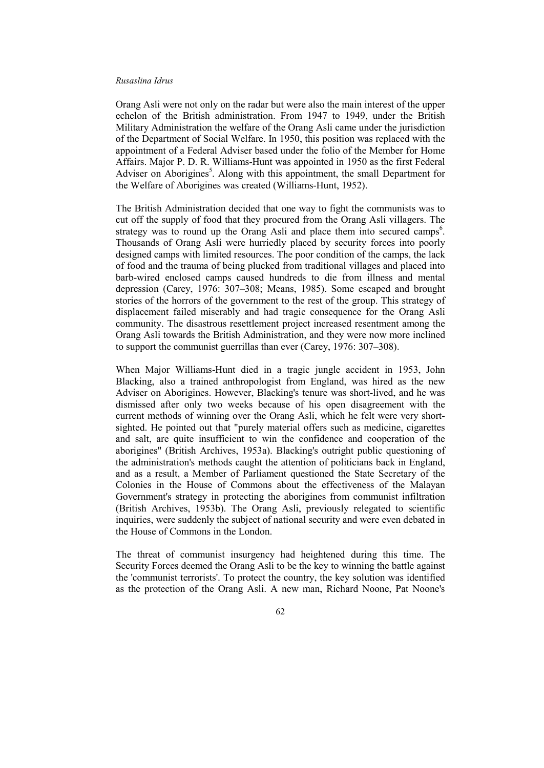Orang Asli were not only on the radar but were also the main interest of the upper echelon of the British administration. From 1947 to 1949, under the British Military Administration the welfare of the Orang Asli came under the jurisdiction of the Department of Social Welfare. In 1950, this position was replaced with the appointment of a Federal Adviser based under the folio of the Member for Home Affairs. Major P. D. R. Williams-Hunt was appointed in 1950 as the first Federal Adviser on Aborigines<sup>5</sup>. Along with this appointment, the small Department for the Welfare of Aborigines was created (Williams-Hunt, 1952).

The British Administration decided that one way to fight the communists was to cut off the supply of food that they procured from the Orang Asli villagers. The strategy was to round up the Orang Asli and place them into secured camps<sup>6</sup>. Thousands of Orang Asli were hurriedly placed by security forces into poorly designed camps with limited resources. The poor condition of the camps, the lack of food and the trauma of being plucked from traditional villages and placed into barb-wired enclosed camps caused hundreds to die from illness and mental depression (Carey, 1976: 307–308; Means, 1985). Some escaped and brought stories of the horrors of the government to the rest of the group. This strategy of displacement failed miserably and had tragic consequence for the Orang Asli community. The disastrous resettlement project increased resentment among the Orang Asli towards the British Administration, and they were now more inclined to support the communist guerrillas than ever (Carey, 1976: 307–308).

When Major Williams-Hunt died in a tragic jungle accident in 1953, John Blacking, also a trained anthropologist from England, was hired as the new Adviser on Aborigines. However, Blacking's tenure was short-lived, and he was dismissed after only two weeks because of his open disagreement with the current methods of winning over the Orang Asli, which he felt were very shortsighted. He pointed out that "purely material offers such as medicine, cigarettes and salt, are quite insufficient to win the confidence and cooperation of the aborigines" (British Archives, 1953a). Blacking's outright public questioning of the administration's methods caught the attention of politicians back in England, and as a result, a Member of Parliament questioned the State Secretary of the Colonies in the House of Commons about the effectiveness of the Malayan Government's strategy in protecting the aborigines from communist infiltration (British Archives, 1953b). The Orang Asli, previously relegated to scientific inquiries, were suddenly the subject of national security and were even debated in the House of Commons in the London.

The threat of communist insurgency had heightened during this time. The Security Forces deemed the Orang Asli to be the key to winning the battle against the 'communist terrorists'. To protect the country, the key solution was identified as the protection of the Orang Asli. A new man, Richard Noone, Pat Noone's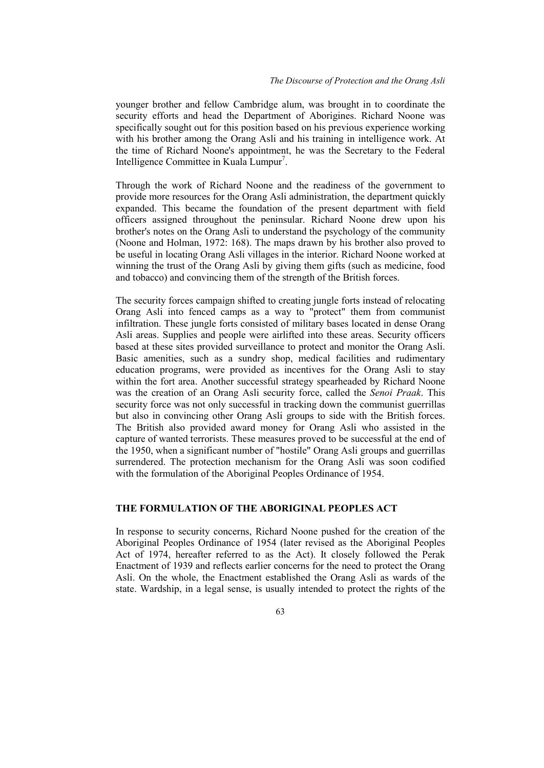younger brother and fellow Cambridge alum, was brought in to coordinate the security efforts and head the Department of Aborigines. Richard Noone was specifically sought out for this position based on his previous experience working with his brother among the Orang Asli and his training in intelligence work. At the time of Richard Noone's appointment, he was the Secretary to the Federal Intelligence Committee in Kuala Lumpur<sup>7</sup>.

Through the work of Richard Noone and the readiness of the government to provide more resources for the Orang Asli administration, the department quickly expanded. This became the foundation of the present department with field officers assigned throughout the peninsular. Richard Noone drew upon his brother's notes on the Orang Asli to understand the psychology of the community (Noone and Holman, 1972: 168). The maps drawn by his brother also proved to be useful in locating Orang Asli villages in the interior. Richard Noone worked at winning the trust of the Orang Asli by giving them gifts (such as medicine, food and tobacco) and convincing them of the strength of the British forces.

The security forces campaign shifted to creating jungle forts instead of relocating Orang Asli into fenced camps as a way to "protect" them from communist infiltration. These jungle forts consisted of military bases located in dense Orang Asli areas. Supplies and people were airlifted into these areas. Security officers based at these sites provided surveillance to protect and monitor the Orang Asli. Basic amenities, such as a sundry shop, medical facilities and rudimentary education programs, were provided as incentives for the Orang Asli to stay within the fort area. Another successful strategy spearheaded by Richard Noone was the creation of an Orang Asli security force, called the *Senoi Praak*. This security force was not only successful in tracking down the communist guerrillas but also in convincing other Orang Asli groups to side with the British forces. The British also provided award money for Orang Asli who assisted in the capture of wanted terrorists. These measures proved to be successful at the end of the 1950, when a significant number of "hostile" Orang Asli groups and guerrillas surrendered. The protection mechanism for the Orang Asli was soon codified with the formulation of the Aboriginal Peoples Ordinance of 1954.

# **THE FORMULATION OF THE ABORIGINAL PEOPLES ACT**

In response to security concerns, Richard Noone pushed for the creation of the Aboriginal Peoples Ordinance of 1954 (later revised as the Aboriginal Peoples Act of 1974, hereafter referred to as the Act). It closely followed the Perak Enactment of 1939 and reflects earlier concerns for the need to protect the Orang Asli. On the whole, the Enactment established the Orang Asli as wards of the state. Wardship, in a legal sense, is usually intended to protect the rights of the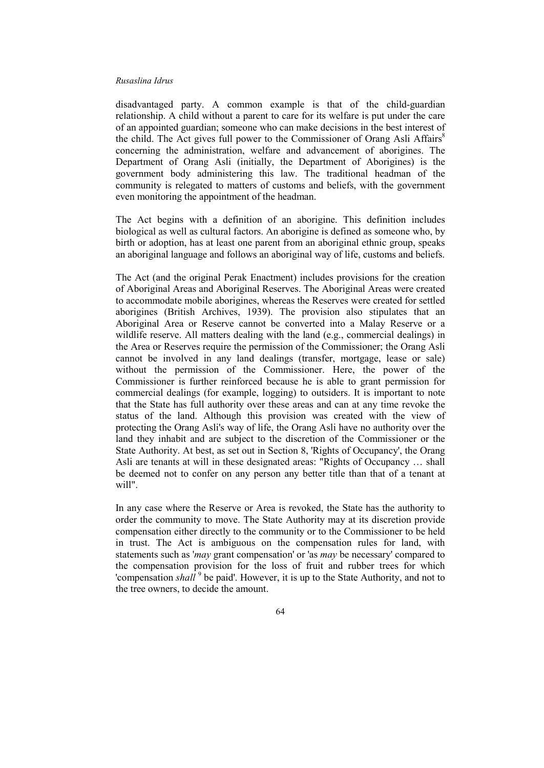disadvantaged party. A common example is that of the child-guardian relationship. A child without a parent to care for its welfare is put under the care of an appointed guardian; someone who can make decisions in the best interest of the child. The Act gives full power to the Commissioner of Orang Asli Affairs<sup>8</sup> concerning the administration, welfare and advancement of aborigines. The Department of Orang Asli (initially, the Department of Aborigines) is the government body administering this law. The traditional headman of the community is relegated to matters of customs and beliefs, with the government even monitoring the appointment of the headman.

The Act begins with a definition of an aborigine. This definition includes biological as well as cultural factors. An aborigine is defined as someone who, by birth or adoption, has at least one parent from an aboriginal ethnic group, speaks an aboriginal language and follows an aboriginal way of life, customs and beliefs.

The Act (and the original Perak Enactment) includes provisions for the creation of Aboriginal Areas and Aboriginal Reserves. The Aboriginal Areas were created to accommodate mobile aborigines, whereas the Reserves were created for settled aborigines (British Archives, 1939). The provision also stipulates that an Aboriginal Area or Reserve cannot be converted into a Malay Reserve or a wildlife reserve. All matters dealing with the land (e.g., commercial dealings) in the Area or Reserves require the permission of the Commissioner; the Orang Asli cannot be involved in any land dealings (transfer, mortgage, lease or sale) without the permission of the Commissioner. Here, the power of the Commissioner is further reinforced because he is able to grant permission for commercial dealings (for example, logging) to outsiders. It is important to note that the State has full authority over these areas and can at any time revoke the status of the land. Although this provision was created with the view of protecting the Orang Asli's way of life, the Orang Asli have no authority over the land they inhabit and are subject to the discretion of the Commissioner or the State Authority. At best, as set out in Section 8, 'Rights of Occupancy', the Orang Asli are tenants at will in these designated areas: "Rights of Occupancy … shall be deemed not to confer on any person any better title than that of a tenant at will".

In any case where the Reserve or Area is revoked, the State has the authority to order the community to move. The State Authority may at its discretion provide compensation either directly to the community or to the Commissioner to be held in trust. The Act is ambiguous on the compensation rules for land, with statements such as '*may* grant compensation' or 'as *may* be necessary' compared to the compensation provision for the loss of fruit and rubber trees for which 'compensation *shall*<sup>9</sup> be paid'. However, it is up to the State Authority, and not to the tree owners, to decide the amount.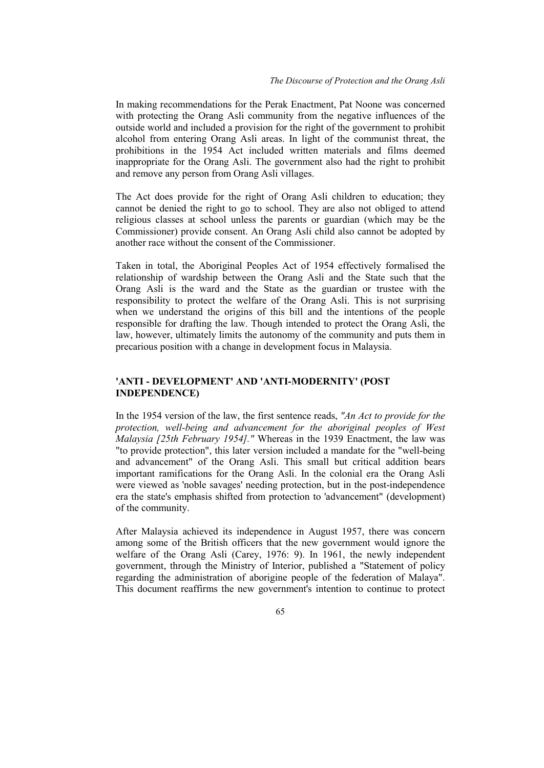In making recommendations for the Perak Enactment, Pat Noone was concerned with protecting the Orang Asli community from the negative influences of the outside world and included a provision for the right of the government to prohibit alcohol from entering Orang Asli areas. In light of the communist threat, the prohibitions in the 1954 Act included written materials and films deemed inappropriate for the Orang Asli. The government also had the right to prohibit and remove any person from Orang Asli villages.

The Act does provide for the right of Orang Asli children to education; they cannot be denied the right to go to school. They are also not obliged to attend religious classes at school unless the parents or guardian (which may be the Commissioner) provide consent. An Orang Asli child also cannot be adopted by another race without the consent of the Commissioner.

Taken in total, the Aboriginal Peoples Act of 1954 effectively formalised the relationship of wardship between the Orang Asli and the State such that the Orang Asli is the ward and the State as the guardian or trustee with the responsibility to protect the welfare of the Orang Asli. This is not surprising when we understand the origins of this bill and the intentions of the people responsible for drafting the law. Though intended to protect the Orang Asli, the law, however, ultimately limits the autonomy of the community and puts them in precarious position with a change in development focus in Malaysia.

## **'ANTI - DEVELOPMENT' AND 'ANTI-MODERNITY' (POST INDEPENDENCE)**

In the 1954 version of the law, the first sentence reads, *"An Act to provide for the protection, well-being and advancement for the aboriginal peoples of West Malaysia [25th February 1954]."* Whereas in the 1939 Enactment, the law was "to provide protection", this later version included a mandate for the "well-being and advancement" of the Orang Asli. This small but critical addition bears important ramifications for the Orang Asli. In the colonial era the Orang Asli were viewed as 'noble savages' needing protection, but in the post-independence era the state's emphasis shifted from protection to 'advancement" (development) of the community.

After Malaysia achieved its independence in August 1957, there was concern among some of the British officers that the new government would ignore the welfare of the Orang Asli (Carey, 1976: 9). In 1961, the newly independent government, through the Ministry of Interior, published a "Statement of policy regarding the administration of aborigine people of the federation of Malaya". This document reaffirms the new government's intention to continue to protect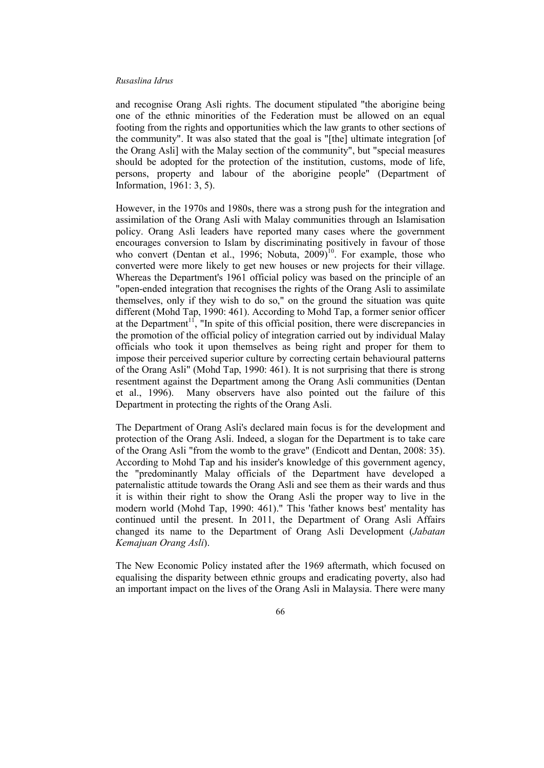and recognise Orang Asli rights. The document stipulated "the aborigine being one of the ethnic minorities of the Federation must be allowed on an equal footing from the rights and opportunities which the law grants to other sections of the community". It was also stated that the goal is "[the] ultimate integration [of the Orang Asli] with the Malay section of the community", but "special measures should be adopted for the protection of the institution, customs, mode of life, persons, property and labour of the aborigine people" (Department of Information, 1961: 3, 5).

However, in the 1970s and 1980s, there was a strong push for the integration and assimilation of the Orang Asli with Malay communities through an Islamisation policy. Orang Asli leaders have reported many cases where the government encourages conversion to Islam by discriminating positively in favour of those who convert (Dentan et al., 1996; Nobuta,  $2009)^{10}$ . For example, those who converted were more likely to get new houses or new projects for their village. Whereas the Department's 1961 official policy was based on the principle of an "open-ended integration that recognises the rights of the Orang Asli to assimilate themselves, only if they wish to do so," on the ground the situation was quite different (Mohd Tap, 1990: 461). According to Mohd Tap, a former senior officer at the Department<sup>11</sup>, "In spite of this official position, there were discrepancies in the promotion of the official policy of integration carried out by individual Malay officials who took it upon themselves as being right and proper for them to impose their perceived superior culture by correcting certain behavioural patterns of the Orang Asli" (Mohd Tap, 1990: 461). It is not surprising that there is strong resentment against the Department among the Orang Asli communities (Dentan et al., 1996). Many observers have also pointed out the failure of this Department in protecting the rights of the Orang Asli.

The Department of Orang Asli's declared main focus is for the development and protection of the Orang Asli. Indeed, a slogan for the Department is to take care of the Orang Asli "from the womb to the grave" (Endicott and Dentan, 2008: 35). According to Mohd Tap and his insider's knowledge of this government agency, the "predominantly Malay officials of the Department have developed a paternalistic attitude towards the Orang Asli and see them as their wards and thus it is within their right to show the Orang Asli the proper way to live in the modern world (Mohd Tap, 1990: 461)." This 'father knows best' mentality has continued until the present. In 2011, the Department of Orang Asli Affairs changed its name to the Department of Orang Asli Development (*Jabatan Kemajuan Orang Asli*).

The New Economic Policy instated after the 1969 aftermath, which focused on equalising the disparity between ethnic groups and eradicating poverty, also had an important impact on the lives of the Orang Asli in Malaysia. There were many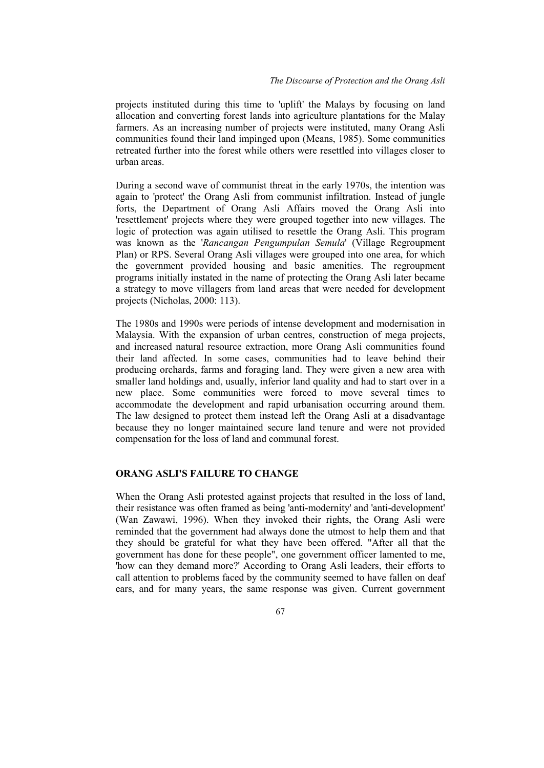projects instituted during this time to 'uplift' the Malays by focusing on land allocation and converting forest lands into agriculture plantations for the Malay farmers. As an increasing number of projects were instituted, many Orang Asli communities found their land impinged upon (Means, 1985). Some communities retreated further into the forest while others were resettled into villages closer to urban areas.

During a second wave of communist threat in the early 1970s, the intention was again to 'protect' the Orang Asli from communist infiltration. Instead of jungle forts, the Department of Orang Asli Affairs moved the Orang Asli into 'resettlement' projects where they were grouped together into new villages. The logic of protection was again utilised to resettle the Orang Asli. This program was known as the '*Rancangan Pengumpulan Semula*' (Village Regroupment Plan) or RPS. Several Orang Asli villages were grouped into one area, for which the government provided housing and basic amenities. The regroupment programs initially instated in the name of protecting the Orang Asli later became a strategy to move villagers from land areas that were needed for development projects (Nicholas, 2000: 113).

The 1980s and 1990s were periods of intense development and modernisation in Malaysia. With the expansion of urban centres, construction of mega projects, and increased natural resource extraction, more Orang Asli communities found their land affected. In some cases, communities had to leave behind their producing orchards, farms and foraging land. They were given a new area with smaller land holdings and, usually, inferior land quality and had to start over in a new place. Some communities were forced to move several times to accommodate the development and rapid urbanisation occurring around them. The law designed to protect them instead left the Orang Asli at a disadvantage because they no longer maintained secure land tenure and were not provided compensation for the loss of land and communal forest.

## **ORANG ASLI'S FAILURE TO CHANGE**

When the Orang Asli protested against projects that resulted in the loss of land, their resistance was often framed as being 'anti-modernity' and 'anti-development' (Wan Zawawi, 1996). When they invoked their rights, the Orang Asli were reminded that the government had always done the utmost to help them and that they should be grateful for what they have been offered. "After all that the government has done for these people", one government officer lamented to me, 'how can they demand more?' According to Orang Asli leaders, their efforts to call attention to problems faced by the community seemed to have fallen on deaf ears, and for many years, the same response was given. Current government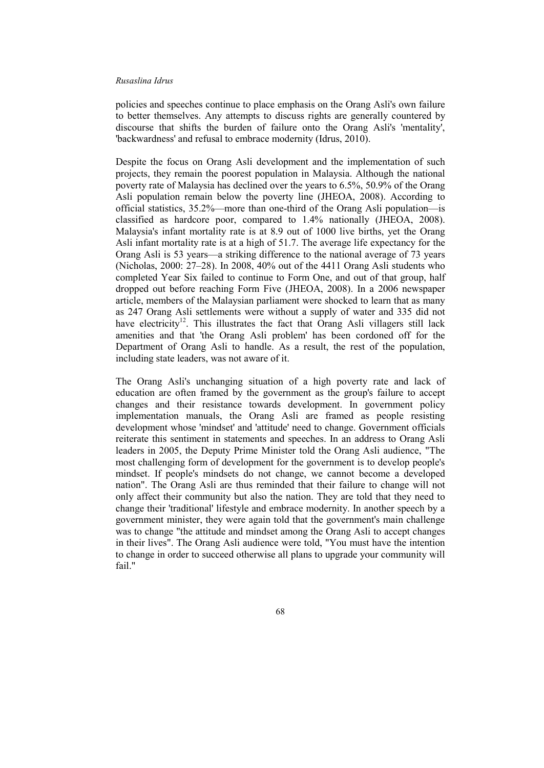policies and speeches continue to place emphasis on the Orang Asli's own failure to better themselves. Any attempts to discuss rights are generally countered by discourse that shifts the burden of failure onto the Orang Asli's 'mentality', 'backwardness' and refusal to embrace modernity (Idrus, 2010).

Despite the focus on Orang Asli development and the implementation of such projects, they remain the poorest population in Malaysia. Although the national poverty rate of Malaysia has declined over the years to 6.5%, 50.9% of the Orang Asli population remain below the poverty line (JHEOA, 2008). According to official statistics, 35.2%—more than one-third of the Orang Asli population—is classified as hardcore poor, compared to 1.4% nationally (JHEOA, 2008). Malaysia's infant mortality rate is at 8.9 out of 1000 live births, yet the Orang Asli infant mortality rate is at a high of 51.7. The average life expectancy for the Orang Asli is 53 years—a striking difference to the national average of 73 years (Nicholas, 2000: 27–28). In 2008, 40% out of the 4411 Orang Asli students who completed Year Six failed to continue to Form One, and out of that group, half dropped out before reaching Form Five (JHEOA, 2008). In a 2006 newspaper article, members of the Malaysian parliament were shocked to learn that as many as 247 Orang Asli settlements were without a supply of water and 335 did not have electricity<sup>12</sup>. This illustrates the fact that  $\overrightarrow{Orang}$  Asli villagers still lack amenities and that 'the Orang Asli problem' has been cordoned off for the Department of Orang Asli to handle. As a result, the rest of the population, including state leaders, was not aware of it.

The Orang Asli's unchanging situation of a high poverty rate and lack of education are often framed by the government as the group's failure to accept changes and their resistance towards development. In government policy implementation manuals, the Orang Asli are framed as people resisting development whose 'mindset' and 'attitude' need to change. Government officials reiterate this sentiment in statements and speeches. In an address to Orang Asli leaders in 2005, the Deputy Prime Minister told the Orang Asli audience, "The most challenging form of development for the government is to develop people's mindset. If people's mindsets do not change, we cannot become a developed nation". The Orang Asli are thus reminded that their failure to change will not only affect their community but also the nation. They are told that they need to change their 'traditional' lifestyle and embrace modernity. In another speech by a government minister, they were again told that the government's main challenge was to change "the attitude and mindset among the Orang Asli to accept changes in their lives". The Orang Asli audience were told, "You must have the intention to change in order to succeed otherwise all plans to upgrade your community will fail."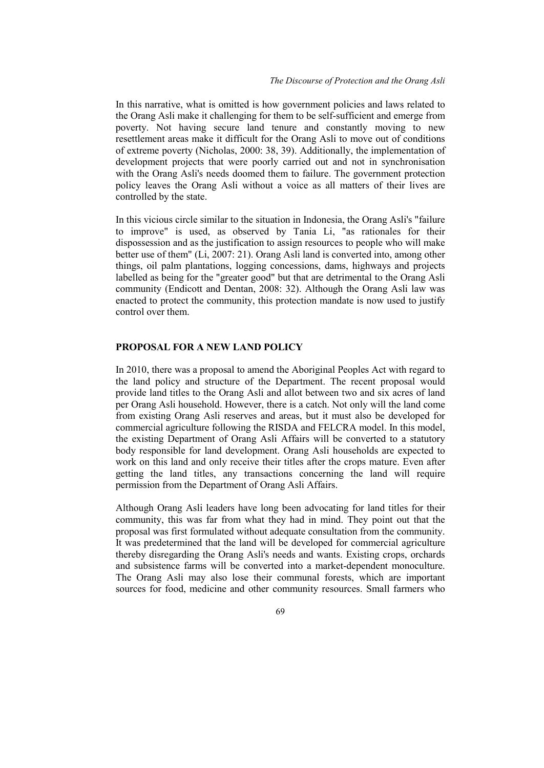In this narrative, what is omitted is how government policies and laws related to the Orang Asli make it challenging for them to be self-sufficient and emerge from poverty. Not having secure land tenure and constantly moving to new resettlement areas make it difficult for the Orang Asli to move out of conditions of extreme poverty (Nicholas, 2000: 38, 39). Additionally, the implementation of development projects that were poorly carried out and not in synchronisation with the Orang Asli's needs doomed them to failure. The government protection policy leaves the Orang Asli without a voice as all matters of their lives are controlled by the state.

In this vicious circle similar to the situation in Indonesia, the Orang Asli's "failure to improve" is used, as observed by Tania Li, "as rationales for their dispossession and as the justification to assign resources to people who will make better use of them" (Li, 2007: 21). Orang Asli land is converted into, among other things, oil palm plantations, logging concessions, dams, highways and projects labelled as being for the "greater good" but that are detrimental to the Orang Asli community (Endicott and Dentan, 2008: 32). Although the Orang Asli law was enacted to protect the community, this protection mandate is now used to justify control over them.

## **PROPOSAL FOR A NEW LAND POLICY**

In 2010, there was a proposal to amend the Aboriginal Peoples Act with regard to the land policy and structure of the Department. The recent proposal would provide land titles to the Orang Asli and allot between two and six acres of land per Orang Asli household. However, there is a catch. Not only will the land come from existing Orang Asli reserves and areas, but it must also be developed for commercial agriculture following the RISDA and FELCRA model. In this model, the existing Department of Orang Asli Affairs will be converted to a statutory body responsible for land development. Orang Asli households are expected to work on this land and only receive their titles after the crops mature. Even after getting the land titles, any transactions concerning the land will require permission from the Department of Orang Asli Affairs.

Although Orang Asli leaders have long been advocating for land titles for their community, this was far from what they had in mind. They point out that the proposal was first formulated without adequate consultation from the community. It was predetermined that the land will be developed for commercial agriculture thereby disregarding the Orang Asli's needs and wants. Existing crops, orchards and subsistence farms will be converted into a market-dependent monoculture. The Orang Asli may also lose their communal forests, which are important sources for food, medicine and other community resources. Small farmers who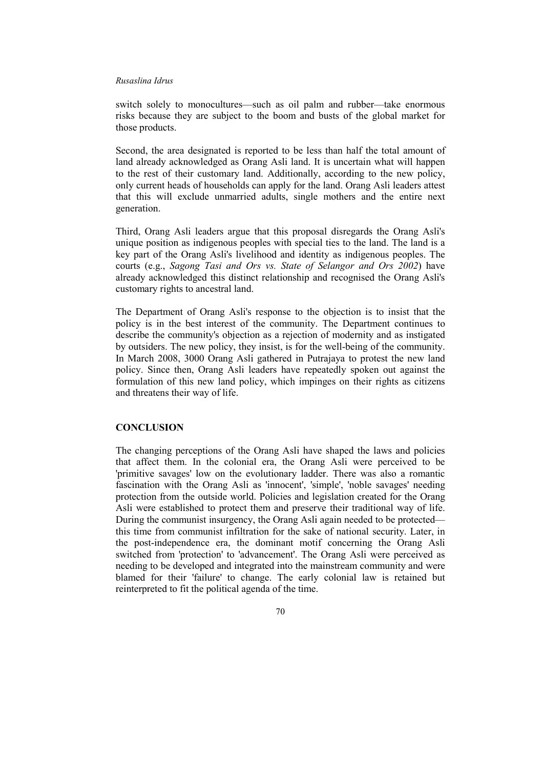switch solely to monocultures—such as oil palm and rubber—take enormous risks because they are subject to the boom and busts of the global market for those products.

Second, the area designated is reported to be less than half the total amount of land already acknowledged as Orang Asli land. It is uncertain what will happen to the rest of their customary land. Additionally, according to the new policy, only current heads of households can apply for the land. Orang Asli leaders attest that this will exclude unmarried adults, single mothers and the entire next generation.

Third, Orang Asli leaders argue that this proposal disregards the Orang Asli's unique position as indigenous peoples with special ties to the land. The land is a key part of the Orang Asli's livelihood and identity as indigenous peoples. The courts (e.g., *Sagong Tasi and Ors vs. State of Selangor and Ors 2002*) have already acknowledged this distinct relationship and recognised the Orang Asli's customary rights to ancestral land.

The Department of Orang Asli's response to the objection is to insist that the policy is in the best interest of the community. The Department continues to describe the community's objection as a rejection of modernity and as instigated by outsiders. The new policy, they insist, is for the well-being of the community. In March 2008, 3000 Orang Asli gathered in Putrajaya to protest the new land policy. Since then, Orang Asli leaders have repeatedly spoken out against the formulation of this new land policy, which impinges on their rights as citizens and threatens their way of life.

## **CONCLUSION**

The changing perceptions of the Orang Asli have shaped the laws and policies that affect them. In the colonial era, the Orang Asli were perceived to be 'primitive savages' low on the evolutionary ladder. There was also a romantic fascination with the Orang Asli as 'innocent', 'simple', 'noble savages' needing protection from the outside world. Policies and legislation created for the Orang Asli were established to protect them and preserve their traditional way of life. During the communist insurgency, the Orang Asli again needed to be protected this time from communist infiltration for the sake of national security. Later, in the post-independence era, the dominant motif concerning the Orang Asli switched from 'protection' to 'advancement'. The Orang Asli were perceived as needing to be developed and integrated into the mainstream community and were blamed for their 'failure' to change. The early colonial law is retained but reinterpreted to fit the political agenda of the time.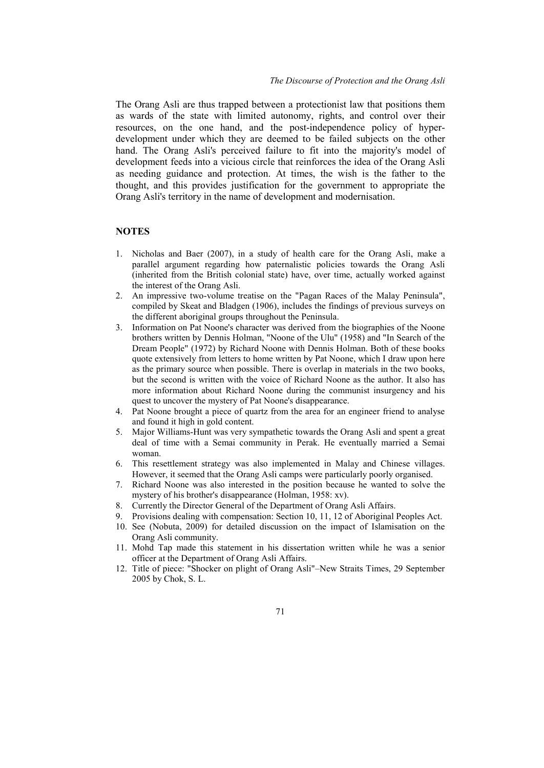The Orang Asli are thus trapped between a protectionist law that positions them as wards of the state with limited autonomy, rights, and control over their resources, on the one hand, and the post-independence policy of hyperdevelopment under which they are deemed to be failed subjects on the other hand. The Orang Asli's perceived failure to fit into the majority's model of development feeds into a vicious circle that reinforces the idea of the Orang Asli as needing guidance and protection. At times, the wish is the father to the thought, and this provides justification for the government to appropriate the Orang Asli's territory in the name of development and modernisation.

## **NOTES**

- 1. Nicholas and Baer (2007), in a study of health care for the Orang Asli, make a parallel argument regarding how paternalistic policies towards the Orang Asli (inherited from the British colonial state) have, over time, actually worked against the interest of the Orang Asli.
- 2. An impressive two-volume treatise on the "Pagan Races of the Malay Peninsula", compiled by Skeat and Bladgen (1906), includes the findings of previous surveys on the different aboriginal groups throughout the Peninsula.
- 3. Information on Pat Noone's character was derived from the biographies of the Noone brothers written by Dennis Holman, "Noone of the Ulu" (1958) and "In Search of the Dream People" (1972) by Richard Noone with Dennis Holman. Both of these books quote extensively from letters to home written by Pat Noone, which I draw upon here as the primary source when possible. There is overlap in materials in the two books, but the second is written with the voice of Richard Noone as the author. It also has more information about Richard Noone during the communist insurgency and his quest to uncover the mystery of Pat Noone's disappearance.
- 4. Pat Noone brought a piece of quartz from the area for an engineer friend to analyse and found it high in gold content.
- 5. Major Williams-Hunt was very sympathetic towards the Orang Asli and spent a great deal of time with a Semai community in Perak. He eventually married a Semai woman.
- 6. This resettlement strategy was also implemented in Malay and Chinese villages. However, it seemed that the Orang Asli camps were particularly poorly organised.
- 7. Richard Noone was also interested in the position because he wanted to solve the mystery of his brother's disappearance (Holman, 1958: xv).
- 8. Currently the Director General of the Department of Orang Asli Affairs.
- 9. Provisions dealing with compensation: Section 10, 11, 12 of Aboriginal Peoples Act.
- 10. See (Nobuta, 2009) for detailed discussion on the impact of Islamisation on the Orang Asli community.
- 11. Mohd Tap made this statement in his dissertation written while he was a senior officer at the Department of Orang Asli Affairs.
- 12. Title of piece: "Shocker on plight of Orang Asli"–New Straits Times, 29 September 2005 by Chok, S. L.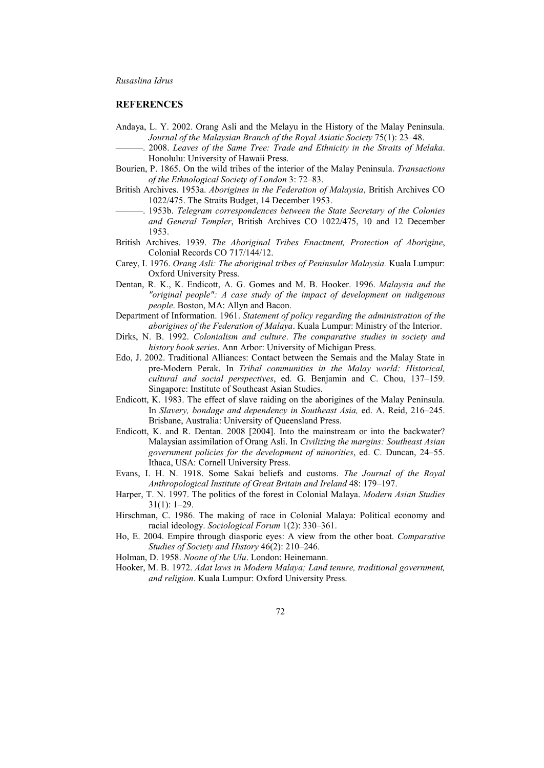## **REFERENCES**

- Andaya, L. Y. 2002. Orang Asli and the Melayu in the History of the Malay Peninsula. *Journal of the Malaysian Branch of the Royal Asiatic Society* 75(1): 23–48.
	- ———. 2008. *Leaves of the Same Tree: Trade and Ethnicity in the Straits of Melaka*. Honolulu: University of Hawaii Press.
- Bourien, P. 1865. On the wild tribes of the interior of the Malay Peninsula. *Transactions of the Ethnological Society of London* 3: 72–83.
- British Archives. 1953a. *Aborigines in the Federation of Malaysia*, British Archives CO 1022/475. The Straits Budget, 14 December 1953.
- ———. 1953b. *Telegram correspondences between the State Secretary of the Colonies and General Templer*, British Archives CO 1022/475, 10 and 12 December 1953.
- British Archives. 1939. *The Aboriginal Tribes Enactment, Protection of Aborigine*, Colonial Records CO 717/144/12.
- Carey, I. 1976. *Orang Asli: The aboriginal tribes of Peninsular Malaysia.* Kuala Lumpur: Oxford University Press.
- Dentan, R. K., K. Endicott, A. G. Gomes and M. B. Hooker. 1996. *Malaysia and the "original people": A case study of the impact of development on indigenous people*. Boston, MA: Allyn and Bacon.
- Department of Information. 1961. *Statement of policy regarding the administration of the aborigines of the Federation of Malaya*. Kuala Lumpur: Ministry of the Interior.
- Dirks, N. B. 1992. *Colonialism and culture*. *The comparative studies in society and history book series*. Ann Arbor: University of Michigan Press.
- Edo, J. 2002. Traditional Alliances: Contact between the Semais and the Malay State in pre-Modern Perak. In *Tribal communities in the Malay world: Historical, cultural and social perspectives*, ed. G. Benjamin and C. Chou, 137–159. Singapore: Institute of Southeast Asian Studies.
- Endicott, K. 1983. The effect of slave raiding on the aborigines of the Malay Peninsula. In *Slavery, bondage and dependency in Southeast Asia,* ed. A. Reid, 216–245. Brisbane, Australia: University of Queensland Press.
- Endicott, K. and R. Dentan. 2008 [2004]. Into the mainstream or into the backwater? Malaysian assimilation of Orang Asli. In *Civilizing the margins: Southeast Asian government policies for the development of minorities*, ed. C. Duncan, 24–55. Ithaca, USA: Cornell University Press.
- Evans, I. H. N. 1918. Some Sakai beliefs and customs. *The Journal of the Royal Anthropological Institute of Great Britain and Ireland* 48: 179–197.
- Harper, T. N. 1997. The politics of the forest in Colonial Malaya. *Modern Asian Studies* 31(1): 1–29.
- Hirschman, C. 1986. The making of race in Colonial Malaya: Political economy and racial ideology. *Sociological Forum* 1(2): 330–361.
- Ho, E. 2004. Empire through diasporic eyes: A view from the other boat. *Comparative Studies of Society and History* 46(2): 210–246.
- Holman, D. 1958. *Noone of the Ulu*. London: Heinemann.
- Hooker, M. B. 1972. *Adat laws in Modern Malaya; Land tenure, traditional government, and religion*. Kuala Lumpur: Oxford University Press.
	- 72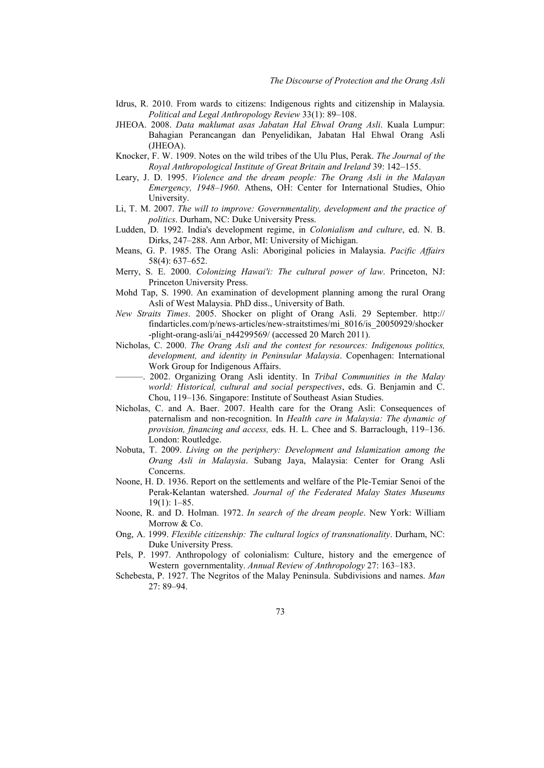- Idrus, R. 2010. From wards to citizens: Indigenous rights and citizenship in Malaysia. *Political and Legal Anthropology Review* 33(1): 89–108.
- JHEOA. 2008. *Data maklumat asas Jabatan Hal Ehwal Orang Asli*. Kuala Lumpur: Bahagian Perancangan dan Penyelidikan, Jabatan Hal Ehwal Orang Asli (JHEOA).
- Knocker, F. W. 1909. Notes on the wild tribes of the Ulu Plus, Perak. *The Journal of the Royal Anthropological Institute of Great Britain and Ireland* 39: 142–155.
- Leary, J. D. 1995. *Violence and the dream people: The Orang Asli in the Malayan Emergency, 1948*–*1960*. Athens, OH: Center for International Studies, Ohio University.
- Li, T. M. 2007. *The will to improve: Governmentality, development and the practice of politics*. Durham, NC: Duke University Press.
- Ludden, D. 1992. India's development regime, in *Colonialism and culture*, ed. N. B. Dirks, 247–288. Ann Arbor, MI: University of Michigan.
- Means, G. P. 1985. The Orang Asli: Aboriginal policies in Malaysia. *Pacific Affairs* 58(4): 637–652.
- Merry, S. E. 2000. *Colonizing Hawai'i: The cultural power of law*. Princeton, NJ: Princeton University Press.
- Mohd Tap, S. 1990. An examination of development planning among the rural Orang Asli of West Malaysia. PhD diss., University of Bath.
- *New Straits Times*. 2005. Shocker on plight of Orang Asli. 29 September. http:// findarticles.com/p/news-articles/new-straitstimes/mi\_8016/is\_20050929/shocker -plight-orang-asli/ai\_n44299569/ (accessed 20 March 2011).
- Nicholas, C. 2000. *The Orang Asli and the contest for resources: Indigenous politics, development, and identity in Peninsular Malaysia*. Copenhagen: International Work Group for Indigenous Affairs.
- ———. 2002. Organizing Orang Asli identity. In *Tribal Communities in the Malay world: Historical, cultural and social perspectives*, eds. G. Benjamin and C. Chou, 119–136. Singapore: Institute of Southeast Asian Studies.
- Nicholas, C. and A. Baer. 2007. Health care for the Orang Asli: Consequences of paternalism and non-recognition. In *Health care in Malaysia: The dynamic of provision, financing and access,* eds. H. L. Chee and S. Barraclough, 119–136. London: Routledge.
- Nobuta, T. 2009. *Living on the periphery: Development and Islamization among the Orang Asli in Malaysia*. Subang Jaya, Malaysia: Center for Orang Asli Concerns.
- Noone, H. D. 1936. Report on the settlements and welfare of the Ple-Temiar Senoi of the Perak-Kelantan watershed. *Journal of the Federated Malay States Museums* 19(1): 1–85.
- Noone, R. and D. Holman. 1972. *In search of the dream people*. New York: William Morrow & Co.
- Ong, A. 1999. *Flexible citizenship: The cultural logics of transnationality*. Durham, NC: Duke University Press.
- Pels, P. 1997. Anthropology of colonialism: Culture, history and the emergence of Western governmentality. *Annual Review of Anthropology* 27: 163–183.
- Schebesta, P. 1927. The Negritos of the Malay Peninsula. Subdivisions and names. *Man* 27: 89–94.